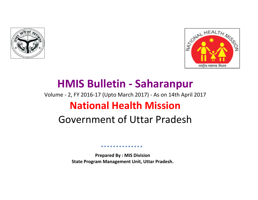



# Volume - 2, FY 2016-17 (Upto March 2017) - As on 14th April 2017 **National Health Mission** Government of Uttar Pradesh **HMIS Bulletin - Saharanpur**

**Prepared By : MIS Division State Program Management Unit, Uttar Pradesh.**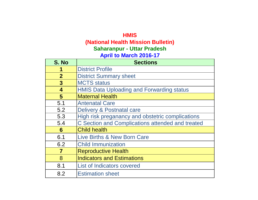# **HMIS (National Health Mission Bulletin) April to March 2016-17 Saharanpur - Uttar Pradesh**

| S. No                   | <b>Sections</b>                                  |
|-------------------------|--------------------------------------------------|
|                         | <b>District Profile</b>                          |
| $\overline{2}$          | <b>District Summary sheet</b>                    |
| $\mathbf{3}$            | <b>MCTS</b> status                               |
| $\overline{\mathbf{4}}$ | <b>HMIS Data Uploading and Forwarding status</b> |
| 5                       | <b>Maternal Health</b>                           |
| 5.1                     | <b>Antenatal Care</b>                            |
| 5.2                     | Delivery & Postnatal care                        |
| 5.3                     | High risk preganancy and obstetric complications |
| 5.4                     | C Section and Complications attended and treated |
| 6                       | <b>Child health</b>                              |
| 6.1                     | Live Births & New Born Care                      |
| 6.2                     | <b>Child Immunization</b>                        |
| 7                       | <b>Reproductive Health</b>                       |
| 8                       | <b>Indicators and Estimations</b>                |
| 8.1                     | <b>List of Indicators covered</b>                |
| 8.2                     | <b>Estimation sheet</b>                          |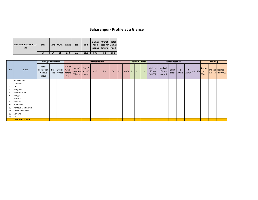# **Saharanpur- Profile at a Glance**

| Saharanpur (*AHS 2012-<br>13) | <b>IMR</b> |    | NMR U5MR | <b>MMR</b> | <b>TFR</b> | <b>CBR</b> | <b>Unmet</b><br>need<br>spacing limiting | <b>Unmet</b><br>need for Unmet | Total<br>need |
|-------------------------------|------------|----|----------|------------|------------|------------|------------------------------------------|--------------------------------|---------------|
|                               | 76         | 54 | 99       | 258        | 3.3        | 26.2       | 10.3                                     | 5.6                            | 15.9          |

|       |                         | <b>Demographic Profile</b>              |              |                               |               |                              |                                  | Infrastructure |     |           |                 | Delivery Points |    |                |                               | Human resource                 |                     |   |          |                   | <b>Training</b>      |                 |                   |
|-------|-------------------------|-----------------------------------------|--------------|-------------------------------|---------------|------------------------------|----------------------------------|----------------|-----|-----------|-----------------|-----------------|----|----------------|-------------------------------|--------------------------------|---------------------|---|----------|-------------------|----------------------|-----------------|-------------------|
| S.no. | <b>Block</b>            | Total<br>Population<br>(Census<br>2011) | Sex<br>ratio | Literac Gram<br>y rate Pancha | No. of<br>yat | No. of<br>Revenue<br>Village | NO. of<br><b>VHSNC</b><br>formed | <b>CHC</b>     | PHC | <b>SC</b> | Pvt   AWCs   L1 |                 | L2 | L <sub>3</sub> | Medical<br>officers<br>(MBBS) | Medical<br>officers<br>(Ayush) | SN in<br>block ANMs | # | #<br>AWW | $\#$ ASHAs $d$ in | Traine<br><b>SBA</b> | Trained Trained | in NSSK in PPIUCD |
|       | Balliyakhare            |                                         |              |                               |               |                              |                                  |                |     |           |                 |                 |    |                |                               |                                |                     |   |          |                   |                      |                 |                   |
|       | Daoband                 |                                         |              |                               |               |                              |                                  |                |     |           |                 |                 |    |                |                               |                                |                     |   |          |                   |                      |                 |                   |
| 3     | <b>DHQ</b>              |                                         |              |                               |               |                              |                                  |                |     |           |                 |                 |    |                |                               |                                |                     |   |          |                   |                      |                 |                   |
|       | Gangoha                 |                                         |              |                               |               |                              |                                  |                |     |           |                 |                 |    |                |                               |                                |                     |   |          |                   |                      |                 |                   |
|       | Muzzafrabad             |                                         |              |                               |               |                              |                                  |                |     |           |                 |                 |    |                |                               |                                |                     |   |          |                   |                      |                 |                   |
| 6     | Nangal                  |                                         |              |                               |               |                              |                                  |                |     |           |                 |                 |    |                |                               |                                |                     |   |          |                   |                      |                 |                   |
|       | Nanota                  |                                         |              |                               |               |                              |                                  |                |     |           |                 |                 |    |                |                               |                                |                     |   |          |                   |                      |                 |                   |
| 8     | Nukkur                  |                                         |              |                               |               |                              |                                  |                |     |           |                 |                 |    |                |                               |                                |                     |   |          |                   |                      |                 |                   |
| 9     | Punwarka                |                                         |              |                               |               |                              |                                  |                |     |           |                 |                 |    |                |                               |                                |                     |   |          |                   |                      |                 |                   |
| 10    | Rampur Maniharan        |                                         |              |                               |               |                              |                                  |                |     |           |                 |                 |    |                |                               |                                |                     |   |          |                   |                      |                 |                   |
| 11    | Sadholi Kadeem          |                                         |              |                               |               |                              |                                  |                |     |           |                 |                 |    |                |                               |                                |                     |   |          |                   |                      |                 |                   |
| 12    | Sarsawa                 |                                         |              |                               |               |                              |                                  |                |     |           |                 |                 |    |                |                               |                                |                     |   |          |                   |                      |                 |                   |
| 13    | DH                      |                                         |              |                               |               |                              |                                  |                |     |           |                 |                 |    |                |                               |                                |                     |   |          |                   |                      |                 |                   |
|       | <b>Total Saharanpur</b> |                                         |              |                               |               |                              |                                  |                |     |           |                 |                 |    |                |                               |                                |                     |   |          |                   |                      |                 |                   |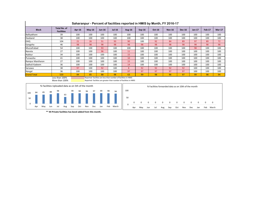| <b>Block</b>                                      | <b>Total No. of</b><br><b>Facilities</b> | Apr-16                                                                                                                              | $May-16$ | $Jun-16$ | <b>Jul-16</b> | Aug-16 | $Sep-16$ | Oct-16                                              | <b>Nov-16</b> | <b>Dec-16</b> | Jan-17 | <b>Feb-17</b> | <b>Mar-17</b> |
|---------------------------------------------------|------------------------------------------|-------------------------------------------------------------------------------------------------------------------------------------|----------|----------|---------------|--------|----------|-----------------------------------------------------|---------------|---------------|--------|---------------|---------------|
| Balliyakhare                                      | 39                                       | 100                                                                                                                                 | 100      | 100      | 100           | 100    | 100      | 100                                                 | 100           | 100           | 100    | 100           | 100           |
| Daoband                                           | 38                                       | 100                                                                                                                                 | 100      | 100      | 100           | 100    | 100      | 100                                                 | 100           | 100           | 100    | 100           | 100           |
| <b>DHQ</b>                                        | 104                                      | 21                                                                                                                                  | 26       | 51       | 93            | 90     | 100      | 92                                                  | 84            | 89            | 97     | 89            | 72            |
| Gangoha                                           | 46                                       | 98                                                                                                                                  | 98       | 98       | 98            | 98     | 98       | 98                                                  | 98            | 98            | 98     | 98            | 98            |
| Muzzafrabad                                       | 54                                       | 100                                                                                                                                 | 100      | 93       | 100           | 100    | 100      | 100                                                 | 100           | 100           | 98     | 100           | 100           |
| Nanota                                            | 27                                       | 100                                                                                                                                 | 100      | 96       | 100           | 11     | 100      | 100                                                 | 100           | 100           | 100    | 100           | 100           |
| Nukkur                                            | 34                                       | 100                                                                                                                                 | 100      | 100      | 100           | 15     | 100      | 100                                                 | 100           | 100           | 100    | 100           | 100           |
| Punwarka                                          | 41                                       | 100                                                                                                                                 | 100      | 100      | 100           | 10     | 100      | 100                                                 | 100           | 100           | 100    | 100           | 100           |
| Rampur Maniharan                                  | 27                                       | 100                                                                                                                                 | 100      | 100      | 100           | 15     | 100      | 100                                                 | 100           | 100           | 100    | 100           | 100           |
| Sadholi Kadeem                                    | 36                                       | 100                                                                                                                                 | 100      | 100      | 100           | 14     | 100      | 100                                                 | 100           | 100           | 100    | 100           | 100           |
| Sarsawa                                           | 38                                       | 97                                                                                                                                  | 100      | 92       | 100           | 8      | 92       | 92                                                  | 92            | 92            | 100    | 100           | 100           |
| Nangal                                            | 36                                       | 100                                                                                                                                 | 100      | 100      | 100           | 97     | 97       | 97                                                  | 97            | 97            | 100    | 100           | 100           |
| <b>Grand Total</b>                                | 520                                      | 84                                                                                                                                  | 85       | 88       | 98            | 63     | 99       | 98                                                  | 96            | 97            | 99     | 98            | 94            |
|                                                   | Less than 100%<br>More than 100%         | Reported facilities are less than number of facilities in HMIS<br>Reported facilities are greater than number of facilities in HMIS |          |          |               |        |          |                                                     |               |               |        |               |               |
| % Facilities Uploaded data as on 5th of the month |                                          |                                                                                                                                     |          |          |               |        |          | % Facilities forwarded data as on 10th of the month |               |               |        |               |               |

0

50

100

0 0 0 0 0 0 0 0 0 0 0 0

Apr May Jun Jul Aug Sep Oct Nov Dec Jan Feb March

**Saharanpur - Percent of facilities reported in HMIS by Month, FY 2016-17**



**\*\* 44 Private facilities has beed added from this month.**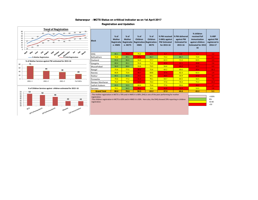#### **Saharanpur - MCTS Status on crititical indicator as on 1st April 2017**

#### **Registration and Updation**



| <b>Block</b>                                                                                                                                                                                                                                                          | $%$ of<br><b>Mother</b><br>Registratio<br>n-HMIS | $%$ of<br><b>Mother</b><br>Registratio<br>n-MCTS | $%$ of<br>Children<br><b>HMIS</b> | $%$ of<br><b>Children</b><br><b>Registration-Registration-</b><br><b>MCTS</b> | % PW received<br>3 ANCs against<br><b>PW Estimated</b><br>for 2015-16 | % PW delivered<br>against PW<br><b>Estimated for</b><br>2015-16 | % children<br>received full<br>immunization<br>against children<br><b>Estimated for 2015.</b><br>16 | % HRP<br>against PW<br>registered in<br>2016-17 |
|-----------------------------------------------------------------------------------------------------------------------------------------------------------------------------------------------------------------------------------------------------------------------|--------------------------------------------------|--------------------------------------------------|-----------------------------------|-------------------------------------------------------------------------------|-----------------------------------------------------------------------|-----------------------------------------------------------------|-----------------------------------------------------------------------------------------------------|-------------------------------------------------|
| <b>DHQ</b>                                                                                                                                                                                                                                                            | 86.1                                             | 26.2                                             | 75.2                              | 29.1                                                                          | 0.7                                                                   | 0.8 <sub>1</sub>                                                | 1.1                                                                                                 | 1.2 <sub>1</sub>                                |
| Balliyakhare                                                                                                                                                                                                                                                          | 76.8                                             | 89.1                                             | 37.6                              | 84.7                                                                          | 72.2                                                                  | 80.7                                                            | 72.9                                                                                                | 6.1                                             |
| Daoband                                                                                                                                                                                                                                                               | 83.6                                             | 86.4                                             | 56.0                              | 77.7                                                                          | 62.3                                                                  | 71.0                                                            | 63.5                                                                                                | 2.3                                             |
| Gangoha                                                                                                                                                                                                                                                               | 80.4                                             | 85.1                                             | 55.6                              | 71.3                                                                          | 40.8                                                                  | 32.1                                                            | 49.8                                                                                                | 2.6                                             |
| Muzzafrabad                                                                                                                                                                                                                                                           | 96.9                                             | 88.6                                             | 59.8                              | 73.5                                                                          | 56.6                                                                  | 46.8                                                            | 42.3                                                                                                | 6.0                                             |
| Nangal                                                                                                                                                                                                                                                                | 75.6                                             | 77.5                                             | 30.2                              | 72.6                                                                          | 60.2                                                                  | 69.6                                                            | 49.4                                                                                                | 10.2                                            |
| Nanota                                                                                                                                                                                                                                                                | 66.8                                             | 72.6                                             | 40.7                              | 68.8                                                                          | 37.4                                                                  | 62.3                                                            | 62.3                                                                                                | 1.4                                             |
| Nukkur                                                                                                                                                                                                                                                                | 80.5                                             | 80.6                                             | 24.5                              | 69.1                                                                          | 38.9                                                                  | 54.9                                                            | 47.0                                                                                                | 8.4                                             |
| Punwarka                                                                                                                                                                                                                                                              | 70.6                                             | 77.2                                             | 31.3                              | 70.1                                                                          | 59.7                                                                  | 64.5                                                            | 56.5                                                                                                | 7.0                                             |
| Rampur Maniharan                                                                                                                                                                                                                                                      | 76.0                                             | 79.8                                             | 34.9                              | 74.3                                                                          | 77.0                                                                  | 70.4                                                            | 75.3                                                                                                | 14.2                                            |
| Sadholi Kadeem                                                                                                                                                                                                                                                        | 85.5                                             | 93.5                                             | 68.4                              | 75.4                                                                          | 77.6                                                                  | 59.6                                                            | 48.2                                                                                                | 1.7                                             |
| Sarsawa                                                                                                                                                                                                                                                               | 70.1                                             | 84.5                                             | 36.2                              | 70.0                                                                          | 46.8                                                                  | 35.9                                                            | 53.5                                                                                                | 2.8                                             |
| <b>Grand Total</b>                                                                                                                                                                                                                                                    | 80.4                                             | 70.0                                             | 50.5                              | 63.2                                                                          | 37.9                                                                  | 44.6                                                            | 43.2                                                                                                | 5.1                                             |
| -The mother registration in MCTS is 70% and in HMIS it is 80%, DHQ is one of the poor performing for mother<br>registration.<br>-The children registration in MCTS is 63% and in HMIS it is 50%. Here also, the DHQ showed 29% reporting in children<br>registration. |                                                  |                                                  |                                   |                                                                               |                                                                       |                                                                 |                                                                                                     | $>100\%$<br>$80+$<br>50-80                      |

<50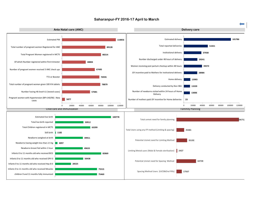#### **Saharanpur-FY 2016-17 April to March**

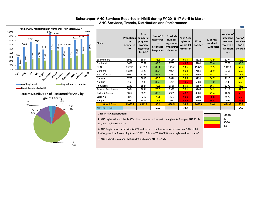#### Saharanpur ANC Services Reported in HMIS during FY 2016-17 April to March  **ANC Services, Trends, Distribution and Performance**



| <b>Block</b>       | Propotiona<br>te<br>estimated<br><b>PW</b> | <b>Total</b><br>number of<br>pregnant<br>women<br>Registered<br>for ANC | % of ANC<br>registered<br>to<br>estimated<br>Pregnancy | Of which<br><b>Number</b><br>registered<br>within first<br>trimester | % of ANC<br>registered<br>within 1st<br>trimester | TT <sub>2</sub> or<br><b>Booster</b> | % of ANC<br>received<br>TT2/Booster | Number of<br>pregnant<br>women<br>received 3<br><b>ANC check</b><br>ups | % of AN<br>received<br>3ANC<br>checkup |
|--------------------|--------------------------------------------|-------------------------------------------------------------------------|--------------------------------------------------------|----------------------------------------------------------------------|---------------------------------------------------|--------------------------------------|-------------------------------------|-------------------------------------------------------------------------|----------------------------------------|
| Balliyakhare       | 8941                                       | 6864                                                                    | 76.8                                                   | 4154                                                                 | 60.5                                              | 6522                                 | 72.9                                | 5274                                                                    | 59.0                                   |
| Daoband            | 6658                                       | 5567                                                                    | 83.6                                                   | 2705                                                                 | 48.6                                              | 5701                                 | 85.6                                | 5768                                                                    | 86.6                                   |
| DHQ                | 25093                                      | 21598                                                                   | 86.1                                                   | 11566                                                                | 53.6                                              | 15429                                | 61.5                                | 13110                                                                   | 52.2                                   |
| Gangoha            | 10107                                      | 8123                                                                    | 80.4                                                   | 4094                                                                 | 50.4                                              | 7168                                 | 70.9                                | 6361                                                                    | 62.9                                   |
| Muzzafrabad        | 9050                                       | 8766                                                                    | 96.9                                                   | 4587                                                                 | 52.3                                              | 6669                                 | 73.7                                | 6507                                                                    | 71.9                                   |
| Nanota             | 5703                                       | 3808                                                                    | 66.8                                                   | 2876                                                                 | 75.5                                              | 3231                                 | 56.7                                | 2910                                                                    | 51.0                                   |
| Nukkur             | 8193                                       | 6598                                                                    | 80.5                                                   | 3274                                                                 | 49.6                                              | 6883                                 | 84.0                                | 5143                                                                    | 62.8                                   |
| Punwarka           | 9237                                       | 6524                                                                    | 70.6                                                   | 3586                                                                 | 55.0                                              | 6157                                 | 66.7                                | 6279                                                                    | 68.0                                   |
| Rampur Maniharan   | 5074                                       | 3854                                                                    | 76.0                                                   | 2933                                                                 | 76.1                                              | 3264                                 | 64.3                                | 3118                                                                    | 61.5                                   |
| Sadholi Kadeem     | 6867                                       | 5870                                                                    | 85.5                                                   | 2391                                                                 | 40.7                                              | 4901                                 | 71.4                                | 4004                                                                    | 58.3                                   |
| Sarsawa            | 8871                                       | 6217                                                                    | 70.1                                                   | 3667                                                                 | 59.0                                              | 6103                                 | 68.8                                | 4972                                                                    | 56.0                                   |
| Nangal             | 7062                                       | 5339                                                                    | 75.6                                                   | 2971                                                                 | 55.6                                              | 4907                                 | 69.5                                | 4049                                                                    | 57.3                                   |
| <b>Grand Total</b> | 110856                                     | 89128                                                                   | 80.4                                                   | 48804                                                                | 54.8                                              | 76935                                | 69.4                                | 67495                                                                   | 60.9                                   |
| AHS (2012-13)      |                                            |                                                                         | 66.7                                                   |                                                                      | 74.7                                              |                                      |                                     |                                                                         | 54.7                                   |

#### **Gaps in ANC Registration :**

**1**. ANC registration of dist. is 80% , block Nanota is low performing blocks & as per AHS 2012- 13 , ANC registartion 67.%.



2- ANC Registration in 1st trim. is 55% and some of the blocks reported less than 50% of 1st ANC registration & according to AHS 2012-13 it was 75.% of PW were registered for 1st ANC.

3- ANC-3 check up as per HMIS is 61% and as per AHS it is 55%.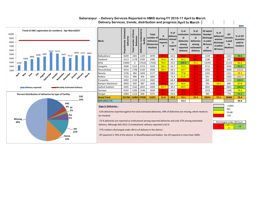

#### **April to March Delivery Services, trends, distribution and progress Saharanpur - Delivery Services Reported in HMIS during FY 2016-17 April to March**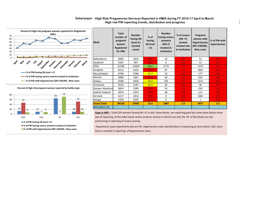

**% of PW with Hypertension (BP>140/90) : New cases**

#### Saharanpur -High Risk Pregnancies Services Reported in HMIS during FY 2016-17 April to March  **High risk PW reporting trends, distribution and progress**

**Block Total number of pregnant women Registered for ANC Number having Hb level<11 (tested cases) % of having Hb level <11 Number having severe anaemia (Hb<7) treated at institution % of severe (Hb <7) anemia treated rate at institution Pregnant women with Hypertension (BP>140/90) : New cases % of PW with hypertension** Balliyakhare | 6864 | 3622 | 40.5 | 16 | 0.2 | 51 | 0.6 Daoband | 5567 | 907 | 13.6 | 6 | 0.1 | 12 | 0.2 DHQ 21598 23458 93.5 1179 5.5 1375 5.5 Gangoha | 8123 | 2655 | 26.3 | 87 | 1.1 | 858 | 8.5 Muzzafrabad | 8766 | 5586 <mark>| 61.7 |</mark> 10 | 0.1 | 177 | <mark>2.0</mark> Nanota | 3808 | 1837 | 32.2 | 58 | 1.5 | 559 | 9.8 Nukkur | 6598 | 4456 <mark>| 54.4 |</mark> 193 | 2.9 | 1372 | 16.7 Punwarka | 6524 | 5197 <mark>| 56.3 |</mark> 36 | 0.6 | 36 | 0.4 Rampur Manihara 3854 2385 47.0 54 1.4 250 4.9 Sadholi Kadeem | 5870 | 3076 | 44.8 | 48 | 0.8 | 121 | 1.8 Sarsawa | 6217 | 1852 | 20.9 | 0 | 0.0 | 1065 | 12.0 Nangal | 5339 | 2650 | 37.5 | 0 0 | 0.0 | 1 | 0.0 **Grand Total 89128 57681 52.0 1687 1.9 5877 5.3** AHS (2012-13)

Gaps in HRP : -Total 52% women having HB <11 in dist. Some blocks are reporting good but some other blocks show lack of reporting. At the other hand, severe aneamic women in district are only 2%. All of the blocks are low performing in reporting of severe anemia.

-Hypertesion cases reported by dist are 5%. Hypertensive cases identification is improving at some blocks. Still, more focus is needed in reporting of Hypertensive cases.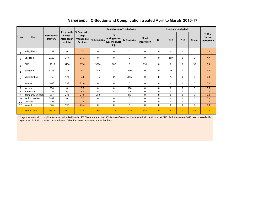|                |                    |                                  |                                                   |                                      |                             | <b>Complications Treated with</b>                           |             |                                    |              | C- section conducted |              |               |                                          |
|----------------|--------------------|----------------------------------|---------------------------------------------------|--------------------------------------|-----------------------------|-------------------------------------------------------------|-------------|------------------------------------|--------------|----------------------|--------------|---------------|------------------------------------------|
| <b>S. No.</b>  | <b>Block</b>       | Institutional<br><b>Delivery</b> | Preg. with<br>Compl.<br>Attended at<br>facilities | % Preg. with<br>Compl.<br>facilities | Attended at  IV Antibiotics | IV<br>Antihypertens   IV Oxytocics<br>ive/ Magsulph<br>Inj. |             | <b>Blood</b><br><b>Transfusion</b> | DH           | <b>CHC</b>           | PHC          | <b>Others</b> | $%$ of C-<br><b>Section</b><br>performed |
| $\mathbf{1}$   | Balliyakhare       | 1229                             | 0                                                 | 0.0                                  | 0                           | 0                                                           | 0           | 0                                  | 0            | 0                    | 0            | 0             | 0.0                                      |
| $\overline{2}$ | Daoband            | 2205                             | 377                                               | 17.1                                 | $\mathbf 0$                 | $\mathbf 0$                                                 | 0           | 0                                  | 0            | 169                  | $\mathbf 0$  | 0             | 7.7                                      |
| 3              | <b>DHQ</b>         | 17618                            | 3104                                              | 17.6                                 | 3094                        | 182                                                         | 6           | 951                                | 0            | 0                    | $\mathbf 0$  | 55            | 0.3                                      |
| $\overline{4}$ | Gangoha            | 3713                             | 152                                               | 4.1                                  | 152                         | 8                                                           | 140         | $\mathbf 0$                        | 0            | 53                   | 0            | 0             | 1.4                                      |
| 5              | Muzzafrabad        | 3160                             | 171                                               | 5.4                                  | 346                         | 14                                                          | 2017        | 0                                  | 0            | 25                   | 0            | 0             | 0.8                                      |
| 6              | Nanota             | 1693                             | 355                                               | 21.0                                 | $\mathbf 0$                 | $\mathbf 0$                                                 | 0           | 0                                  | 0            | 0                    | $\mathbf 0$  | 0             | 0.0                                      |
| $\overline{7}$ | <b>Nukkur</b>      | 956                              | $\Omega$                                          | 0.0                                  | $\Omega$                    | $\Omega$                                                    | 110         | 0                                  | $\Omega$     | 0                    | $\Omega$     | $\Omega$      | 0.0                                      |
| 8              | Punwarka           | 1153                             | 79                                                | 6.9                                  | 51                          | 5                                                           | 47          | 0                                  | $\Omega$     | 0                    | $\Omega$     | $\Omega$      | 0.0                                      |
| 9              | Rampur Manihara    | 987                              | 271                                               | 27.5                                 | 252                         | 4                                                           | 81          | 0                                  | 0            | 0                    | $\mathbf 0$  | 0             | 0.0                                      |
| 10             | Sadholi Kadeem     | 2832                             | $\mathbf 0$                                       | 0.0                                  | $\mathbf 0$                 | $\mathbf 0$                                                 | $\mathbf 0$ | 0                                  | 0            | 0                    | $\mathbf 0$  | 0             | 0.0                                      |
| 11             | Sarsawa            | 1546                             | 4                                                 | 0.3                                  | 3                           | $\mathbf 0$                                                 | 0           | 0                                  | 0            | 0                    | 0            | $\Omega$      | 0.0                                      |
| 12             | Nangal             | 846                              | 198                                               | 23.4                                 | $\mathbf 0$                 | $\mathbf{0}$                                                | $\mathbf 0$ | 0                                  | 0            | 0                    | $\mathbf 0$  | 0             | 0.0                                      |
|                | <b>Grand Total</b> | 37938                            | 4711                                              | 12.4                                 | 3898                        | 213                                                         | 2401        | 951                                | $\mathbf{0}$ | 247                  | $\mathbf{0}$ | 55            | 0.8                                      |

### **C-Section and Complication treated April to March 2016-17 Saharanpur**

-Pregnat women with complication attended at facilities is 12%. There were around 3094 cases of complications treated with antibiotics at DHQ. And, there were 2017 cases treated with oxytocin at block Muzzafrabad. Around 8% of C-Sections were performed at CHC Daoband.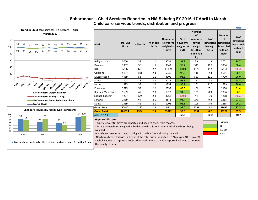

### Saharanpur - Child Services Reported in HMIS during FY 2016-17 April to March  **Child care services trends, distribution and progress**

**% of newborns weighed at birth % of newborns breast fed within 1 hour**

Sadholi Kadeem is reporting 100% other blocks more than 90% reported, All need to improve the quality of data.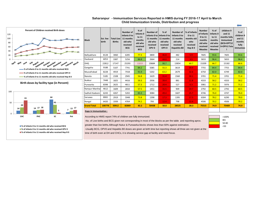#### **- Immunisation Services Reported in HMIS during FY 2016-17 April to March Child Immunization trends, Distribution and progress Saharanpur**

 $\leftarrow$ 

| Percent of Children received Birth doses<br>120<br>100<br>80<br>60<br>40                                                                                                                     | <b>Block</b>                                                                                                                                                                                                                                                                                                                                                                                                                                                                                               | <b>Est. live</b><br>birth | <b>Total Live</b><br><b>Births</b> | <b>Number of</b><br>Infants 0 to<br>11 months<br>old who<br>received<br><b>BCG</b> | $%$ of<br>Infants <sub>0</sub><br>to 11<br>months<br>old who<br>received<br><b>BCG</b> | <b>Number of</b><br>11 months<br>old who<br>received<br>OPV <sub>0</sub> | % of<br>Infants 0 to Infants 0 to<br>11 months<br>old who<br>received<br>OPV <sub>0</sub> | Number of   % of Infants<br>Infants 0 to<br>11 months<br>old who<br>received<br>Hepatitis-B0 | 0 to 11<br>months old<br>who<br>received<br>Hep B <sub>0</sub> | <b>Number</b><br>of Infants<br>0 to 11<br>months<br>old who<br>received<br><b>Measles</b> | $%$ of<br>Infants <sub>0</sub><br>to 11<br>months<br>old who<br>received<br><b>Measles</b> | children 9<br>and 11<br>months fully<br>immunized<br>(BCG+DPT12<br>3+OPV1:Tota | $%$ of<br>children 9<br>and $11$<br>months<br>fully<br>immunizec |
|----------------------------------------------------------------------------------------------------------------------------------------------------------------------------------------------|------------------------------------------------------------------------------------------------------------------------------------------------------------------------------------------------------------------------------------------------------------------------------------------------------------------------------------------------------------------------------------------------------------------------------------------------------------------------------------------------------------|---------------------------|------------------------------------|------------------------------------------------------------------------------------|----------------------------------------------------------------------------------------|--------------------------------------------------------------------------|-------------------------------------------------------------------------------------------|----------------------------------------------------------------------------------------------|----------------------------------------------------------------|-------------------------------------------------------------------------------------------|--------------------------------------------------------------------------------------------|--------------------------------------------------------------------------------|------------------------------------------------------------------|
| 20                                                                                                                                                                                           | Balliyakhare                                                                                                                                                                                                                                                                                                                                                                                                                                                                                               | 8128                      | 3060                               | 6285                                                                               | 77.3                                                                                   | 3800                                                                     | 46.8                                                                                      | 482                                                                                          | 5.9                                                            | 7605                                                                                      | 93.6                                                                                       | 7605                                                                           | 93.6                                                             |
|                                                                                                                                                                                              | Daoband                                                                                                                                                                                                                                                                                                                                                                                                                                                                                                    | 6053                      | 3387                               | 5256                                                                               | 86.8                                                                                   | 2664                                                                     | 44.0                                                                                      | 214                                                                                          | 3.5 <sub>1</sub>                                               | 5833                                                                                      | 96.4                                                                                       | 5833                                                                           | 96.4                                                             |
| April<br>November<br>December<br>Чu,<br><b>AUBUST</b><br>October<br><b><i><u>lume</u></i></b><br>September<br>January<br>uary March<br><b>May</b>                                            | <b>DHQ</b>                                                                                                                                                                                                                                                                                                                                                                                                                                                                                                 | 22812                     | 17147                              | 25293                                                                              | 110.9                                                                                  | 20684                                                                    | 90.7                                                                                      | 13854                                                                                        | 60.7                                                           | 15209                                                                                     | 66.7                                                                                       | 15182                                                                          | 66.6                                                             |
| -% of Infants 0 to 11 months old who received BCG                                                                                                                                            | Gangoha                                                                                                                                                                                                                                                                                                                                                                                                                                                                                                    | 9188                      | 5107                               | 7741                                                                               | 84.2                                                                                   | 5085                                                                     | 55.3                                                                                      | 3619                                                                                         | 39.4                                                           | 7755                                                                                      | 84.4                                                                                       | 7755                                                                           | 84.4                                                             |
| -% of Infants 0 to 11 months old who received OPV 0                                                                                                                                          | Muzzafrabad                                                                                                                                                                                                                                                                                                                                                                                                                                                                                                | 8228                      | 4919                               | 7558                                                                               | 91.9                                                                                   | 5202                                                                     | 63.2                                                                                      | 2679                                                                                         | 32.6                                                           | 6750                                                                                      | 82.0                                                                                       | 6749                                                                           | 82.0                                                             |
| % of Infants 0 to 11 months old who received Hep B 0                                                                                                                                         | Nanota                                                                                                                                                                                                                                                                                                                                                                                                                                                                                                     | 5185                      | 2108                               | 2945                                                                               | 56.8                                                                                   | 1629                                                                     | 31.4                                                                                      | 1560                                                                                         | 30.1                                                           | 3701                                                                                      | 71.4                                                                                       | 3701                                                                           | 71.4                                                             |
|                                                                                                                                                                                              | <b>Nukkur</b>                                                                                                                                                                                                                                                                                                                                                                                                                                                                                              | 7448                      | 1825                               | 4416                                                                               | 59.3                                                                                   | 2936                                                                     | 39.4                                                                                      | 881                                                                                          | 11.8                                                           | 4333                                                                                      | 58.2                                                                                       | 4333                                                                           | 58.2                                                             |
| Birth doses by facility type (in Percent)                                                                                                                                                    | Punwarka                                                                                                                                                                                                                                                                                                                                                                                                                                                                                                   | 8398                      | 2625                               | 4811                                                                               | 57.3                                                                                   | 1712                                                                     | 20.4                                                                                      | 527                                                                                          | 6.3                                                            | 5981                                                                                      | 71.2                                                                                       | 5976                                                                           | 71.2                                                             |
|                                                                                                                                                                                              | Rampur Maniha                                                                                                                                                                                                                                                                                                                                                                                                                                                                                              | 4612                      | 1609                               | 2650                                                                               | 57.5                                                                                   | 1451                                                                     | 31.5                                                                                      | 909                                                                                          | 19.7                                                           | 2792                                                                                      | 60.5                                                                                       | 2792                                                                           | 60.5                                                             |
| 100                                                                                                                                                                                          | Sadholi Kadeem                                                                                                                                                                                                                                                                                                                                                                                                                                                                                             | 6243                      | 4267                               | 5202                                                                               | 83.3                                                                                   | 3084                                                                     | 49.4                                                                                      | 1607                                                                                         | 25.7                                                           | 4746                                                                                      | 76.0                                                                                       | 4747                                                                           | 76.0                                                             |
| 61                                                                                                                                                                                           | Sarsawa                                                                                                                                                                                                                                                                                                                                                                                                                                                                                                    | 8065                      | 2919                               | 5948                                                                               | 73.8                                                                                   | 1398                                                                     | 17.3                                                                                      | 1395                                                                                         | 17.3                                                           | 6304                                                                                      | 78.2                                                                                       | 6290                                                                           | 78.0                                                             |
| 50                                                                                                                                                                                           | Nangal                                                                                                                                                                                                                                                                                                                                                                                                                                                                                                     | 6420                      | 1939                               | 4764                                                                               | 74.2                                                                                   | 793                                                                      | 12.4                                                                                      | 798                                                                                          | 12.4                                                           | 4506                                                                                      | 70.2                                                                                       | 4506                                                                           | 70.2                                                             |
| 29<br>14 17 18<br>14                                                                                                                                                                         | <b>Grand Total</b>                                                                                                                                                                                                                                                                                                                                                                                                                                                                                         | 100778                    | 50912                              | 82869                                                                              | 82.2                                                                                   | 50438                                                                    | 50.0                                                                                      | 28525                                                                                        | 28.3                                                           | 75515                                                                                     | 74.9                                                                                       | 75469                                                                          | 74.9                                                             |
|                                                                                                                                                                                              | <b>Gaps in Immunization:</b>                                                                                                                                                                                                                                                                                                                                                                                                                                                                               |                           |                                    |                                                                                    |                                                                                        |                                                                          |                                                                                           |                                                                                              |                                                                |                                                                                           |                                                                                            |                                                                                |                                                                  |
| CHC<br>SC<br>PHC<br>Pvt<br>■% of Infants 0 to 11 months old who received BCG<br>■% of Infants 0 to 11 months old who received OPV 0<br>■% of Infants 0 to 11 months old who received Hep B 0 | According to HMIS report 74% of children are fully immunized.<br>-No. of Live births and BCG given not corresponding in most of the blocks as per the table and reporting aprox.<br>greater than live births. Although Nukur & Punwarka blocks shows less than 60% against estimation.<br>-Usually BCG, OPV0 and Hepatitis B0 doses are given at birth time but reporting shows all three are not given at the<br>time of birth even at DH and CHCs, it is showing service gap at facility and need focus. |                           |                                    |                                                                                    |                                                                                        |                                                                          |                                                                                           |                                                                                              |                                                                |                                                                                           |                                                                                            | >100%<br>$80+$<br>50-80<br>$50$                                                |                                                                  |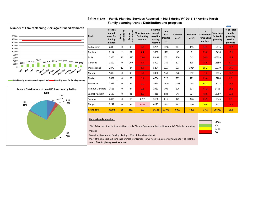| Number of Family planning users against need by month<br>20000<br>18000<br>16000                         | <b>Block</b>       | Potential<br>unmet<br>need for<br>limiting<br>method | Sterilization<br>Male | Sterilization<br>Female | % achivement<br>for limiting<br>method | <b>Potential</b><br>unmet<br>need for<br>spacing<br>method | new<br><b>IUD</b><br>Insertio<br>ns | Condom<br><b>Users</b> | <b>Oral Pills</b><br><b>Users</b> | %<br>achivement<br>for spacing<br>method | <b>Total need</b><br>for family<br>planning | % of Total<br>family<br>planning<br>service<br>provided |
|----------------------------------------------------------------------------------------------------------|--------------------|------------------------------------------------------|-----------------------|-------------------------|----------------------------------------|------------------------------------------------------------|-------------------------------------|------------------------|-----------------------------------|------------------------------------------|---------------------------------------------|---------------------------------------------------------|
| 14000<br>12000                                                                                           | Balliyakhare       | 2838                                                 | $\mathbf 0$           | 0                       | 0.0                                    | 5221                                                       | 1358                                | 307                    | 115                               | 34.1                                     | 16675                                       | 10.7                                                    |
| 10000<br>8000                                                                                            | Daoband            | 2114                                                 | $\overline{2}$        | 91                      | 4.4                                    | 3888                                                       | 1102                                | 52                     | 7                                 | 29.8                                     | 12418                                       | 10.1                                                    |
| 6000                                                                                                     | <b>DHQ</b>         | 7966                                                 | 16                    | 1817                    | 23.0                                   | 14651                                                      | 2601                                | 700                    | 642                               | 26.9                                     | 46799                                       | 12.3                                                    |
| 3047<br>1535 2087 2290 2712 2305 2002 1591 1080<br>4000<br>2106 1981<br>1198<br>2000                     | Gangoha            | 3209                                                 | $\mathbf 0$           | 209                     | 6.5                                    | 5901                                                       | 785                                 | 177                    | 135                               | 18.6                                     | 18850                                       | 6.9                                                     |
|                                                                                                          | Muzzafrabad        | 2873                                                 | 12                    | 24                      | 1.3                                    | 5284                                                       | 1073                                | 831                    | 1014                              | 55.2                                     | 16879                                       | 17.5                                                    |
| April<br><b><i><u>wne</u></i></b><br>wМ<br>Nugust entre October nuer December January April March<br>May | Nanota             | 1810                                                 | $\mathbf 0$           | 96                      | 5.3                                    | 3330                                                       | 560                                 | 228                    | 252                               | 31.2                                     | 10636                                       | 10.7                                                    |
| Total family planning service provided <b>Common Monthly need for family planning</b>                    | <b>Nukkur</b>      | 2601                                                 | $\mathbf 0$           | 89                      | 3.4                                    | 4784                                                       | 722                                 | 285                    | 122                               | 23.6                                     | 15280                                       | 8.0                                                     |
|                                                                                                          | Punwarka           | 2932                                                 | $\mathbf 0$           | $\Omega$                | 0.0                                    | 5394                                                       | 1519                                | 1443                   | 445                               | 63.2                                     | 17228                                       | 19.8                                                    |
| Percent Distributions of new IUD insertions by facility                                                  | Rampur Manihara    | 1611                                                 | $\mathbf 0$           | 34                      | 2.1                                    | 2962                                                       | 706                                 | 226                    | 377                               | 44.2                                     | 9463                                        | 14.2                                                    |
| type<br><b>CHC</b>                                                                                       | Sadholi Kadeem     | 2180                                                 | $\mathbf 0$           | 21                      | 1.0                                    | 4010                                                       | 884                                 | 841                    | 224                               | 48.6                                     | 12807                                       | 15.4                                                    |
| PHC                                                                                                      | Sarsawa            | 2816                                                 | $\mathbf 0$           | 16                      | 0.57                                   | 5180                                                       | 616                                 | 125                    | 476                               | 23.5                                     | 16545                                       | 7.5                                                     |
| DH<br>3%<br>16%                                                                                          | Nangal             | 2242                                                 | $\mathbf 0$           | $\Omega$                | 0.00                                   | 4123                                                       | 1853                                | 882                    | 400                               | 76.0                                     | 13171                                       | 23.8                                                    |
|                                                                                                          | <b>Grand Total</b> | 35192                                                | 30                    | 2397                    | 6.9                                    | 64728                                                      | 13779                               | 6097                   | 4209                              | 37.2                                     | 206752                                      | 12.8                                                    |

#### Saharanpur - Family Planning Services Reported in HMIS during FY 2016-17 April to March  **Family planning trends Distribution and progress**

#### **Gaps in Family planning :**

**SC 73%** -Dist. Achievment for limiting method is only 7% and Spacing method achievment is 37% in the reporting months.



Overall achievment of famility planing is 13% of the whole district.

Most of the blocks have zero case of male sterilization, so we need to pay more attention to it so that the need of family plannig services is met.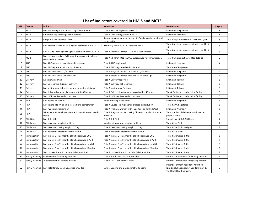## **List of Indicators covered in HMIS and MCTS**

| S.No.          | <b>Domain</b>          | Indicator                                                                           | <b>Numerator</b>                                                           | <b>Denominator</b>                                                                                           | Page no.       |
|----------------|------------------------|-------------------------------------------------------------------------------------|----------------------------------------------------------------------------|--------------------------------------------------------------------------------------------------------------|----------------|
| $\mathbf{1}$   | <b>MCTS</b>            | % of mother registered in MCTS against estimated                                    | Total # Mother registered in MCTS                                          | <b>Estimated Pregnancies</b>                                                                                 | 3              |
| $\overline{2}$ | <b>MCTS</b>            | % Children registered against estimated                                             | Total # Children registered in MCTS                                        | <b>Estimated live births</b>                                                                                 | 3              |
| 3              | <b>MCTS</b>            | % High risk PW reported in MCTS                                                     | Sum of pregnant women having hb<7 and any other maternal<br>complication   | Total # Registered Mothers in current year                                                                   | 3              |
| 4              | <b>MCTS</b>            | % of Mother received ANC 3 against estmated PW of 2015-16                           | Mother (LMP in 2015-16) received ANC 3                                     | Total # pregnant women estimated for 2015-<br>16                                                             | 3              |
| 5              | <b>MCTS</b>            | % of PW delivered against against estmated PW of 2015-16                            | Total # Pregnant women (LMP 2015-16) delivered                             | Total # pregnant women estimated for 2015-<br>16)                                                            | 3              |
| 6              | <b>MCTS</b>            | % of children received full immunization against children<br>estimated for 2015-16. | Total # children (DoB in 2015-16) received full immunization               | Total # Children estimated for 2015-16                                                                       | 3              |
| $\overline{7}$ | <b>ANC</b>             | % of ANC registered to estimated Pregnancy                                          | Total # ANC Registered                                                     | <b>Estimated Pregnancy</b>                                                                                   | 4              |
| 8              | <b>ANC</b>             | % of ANC registered within 1st trimester                                            | Total # ANC Registered within 1st trim                                     | Total # ANC Registered                                                                                       | 4              |
| 9              | <b>ANC</b>             | % of ANC received TT2/Booster                                                       | Total # Pregnant women received TT2/Booster                                | <b>Estimated Pregnancy</b>                                                                                   | 4              |
| 10             | <b>ANC</b>             | % of ANC received 3ANC checkups                                                     | Total # pregnant women received 3 ANC check ups                            | <b>Estimated Pregnancy</b>                                                                                   | 4              |
| 11             | Delivery               | % delivery reported                                                                 | Total # Delivery reported                                                  | <b>Estimated Delivery</b>                                                                                    | 5              |
| 12             | Delivery               | % of Unreported (Missing) Delivery                                                  | Total # Deliviery not reported                                             | <b>Estimated Delivery</b>                                                                                    | 5              |
| 13             | Delivery               | % of institutional deliveries among estimated delivery                              | Total # Institutional Deliviery                                            | <b>Estimated Delivery</b>                                                                                    | 5              |
| 14             | Delivery               | % of delivered women discharged within 48 hours                                     | Total # Delivered women discharged within 48 hours                         | Tota # Deliveries conducted at facility                                                                      | 5              |
| 15             | Delivery               | % of JSY incentive paid to mothers                                                  | Total # JSY Incentives paid to mothers                                     | Tota # Deliveries conducted at facility                                                                      | 5              |
| 16             | HRP                    | % of having Hb level <11                                                            | Number having Hb level<11                                                  | <b>Estimated Pregnancy</b>                                                                                   | 6              |
| 17             | HRP                    | % of severe (Hb <7) anemia treated rate at institution                              | Total # Severe (Hb <7) anemia treated at institution                       | Total # ANC Registered                                                                                       | 6              |
| 18             | <b>HRP</b>             | % of PW with hypertension                                                           | Total # Pregnant women with Hypertension (BP>140/90)                       | <b>Estimated Pregnancy</b>                                                                                   | 6              |
| 20             | <b>HRP</b>             | % Pregnant women having Obstetric complication attend at<br>facility                | Total # Pregnant women having Obstetric complication attend<br>at facility | Total number of deliveries conducted at<br>public facilities                                                 | 6              |
| 21             | Child Care             | % of Still birth                                                                    | Total # Still Birth                                                        | Sum of Live birth & Still birth                                                                              | $\overline{7}$ |
| 22             | Child Care             | % of newborns weighed at birth                                                      | Number of Newborns weighed at birth                                        | Total # Live Births                                                                                          | $\overline{7}$ |
| 23             | Child Care             | % of newborns having weight < 2.5 kg                                                | Total # newborns having weight < 2.5 kg                                    | Total # Live Births Weighed                                                                                  | $\overline{7}$ |
| 24             | Child Care             | % of newborns breast fed within 1 hour                                              | Total # newborns breast fed within 1 hour                                  | Total # Live Births                                                                                          | $\overline{7}$ |
| 25             | Immunization           | I% of Infants 0 to 11 months old who received BCG                                   | Total # Infants 0 to 11 months old who received BCG                        | <b>Total # Estimated Births</b>                                                                              | 8              |
| 26             | Immunization           | % of Infants 0 to 11 months old who received OPV 0                                  | Total # Infants 0 to 11 months old who received OPV 0                      | Total # Estimated Births                                                                                     | 8              |
| 27             | Immunization           | % of Infants 0 to 11 months old who received Hep B 0                                | Total # Infants 0 to 11 months old who received Hep B 0                    | Total # Estimated Births                                                                                     | 8              |
| 28             | Immunization           | % of Infants 0 to 11 months old who received Measles                                | Total # Infants 0 to 11 months old who received Measles                    | Total # Estimated Births                                                                                     | 8              |
| 29             | Immunization           | % of children 9 and 11 months fully immunized                                       | Total # children 9 and 11 months fully immunized                           | <b>Total # Estimated Births</b>                                                                              | 8              |
| 30             | <b>Family Planning</b> | % achivement for limiting method                                                    | Total # Sterilization (Male & Female)                                      | Potential unmet need for limiting method                                                                     | 9              |
| 31             | <b>Family Planning</b> | % achivement for spacing method                                                     | Sum of IUCD and oral Pill users                                            | Potential unmet need for spacing method                                                                      | 9              |
| 32             |                        | Family Planning  % of Total family planning service provided                        | Sum of Spacing and Limiting method's users                                 | Potential unment need for FP Method<br>(Limiting & Spacing & Est Condom users &<br>Traditional Method users) | 9              |